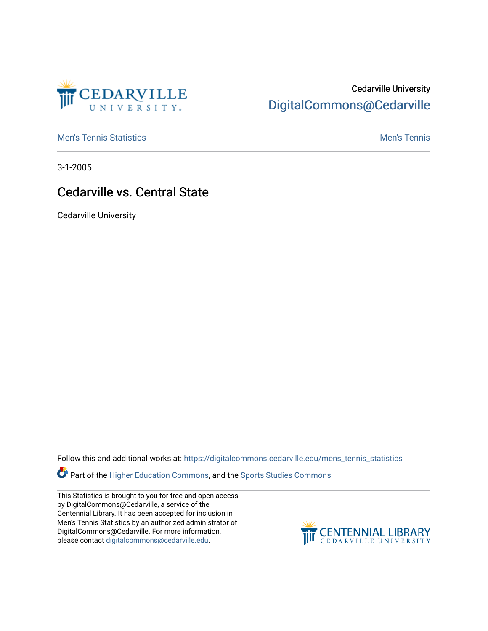

## Cedarville University [DigitalCommons@Cedarville](https://digitalcommons.cedarville.edu/)

**[Men's Tennis Statistics](https://digitalcommons.cedarville.edu/mens_tennis_statistics) Mental According to the Control of Control According Mental Men's Tennis** 

3-1-2005

## Cedarville vs. Central State

Cedarville University

Follow this and additional works at: [https://digitalcommons.cedarville.edu/mens\\_tennis\\_statistics](https://digitalcommons.cedarville.edu/mens_tennis_statistics?utm_source=digitalcommons.cedarville.edu%2Fmens_tennis_statistics%2F605&utm_medium=PDF&utm_campaign=PDFCoverPages)

Part of the [Higher Education Commons,](http://network.bepress.com/hgg/discipline/1245?utm_source=digitalcommons.cedarville.edu%2Fmens_tennis_statistics%2F605&utm_medium=PDF&utm_campaign=PDFCoverPages) and the [Sports Studies Commons](http://network.bepress.com/hgg/discipline/1198?utm_source=digitalcommons.cedarville.edu%2Fmens_tennis_statistics%2F605&utm_medium=PDF&utm_campaign=PDFCoverPages) 

This Statistics is brought to you for free and open access by DigitalCommons@Cedarville, a service of the Centennial Library. It has been accepted for inclusion in Men's Tennis Statistics by an authorized administrator of DigitalCommons@Cedarville. For more information, please contact [digitalcommons@cedarville.edu](mailto:digitalcommons@cedarville.edu).